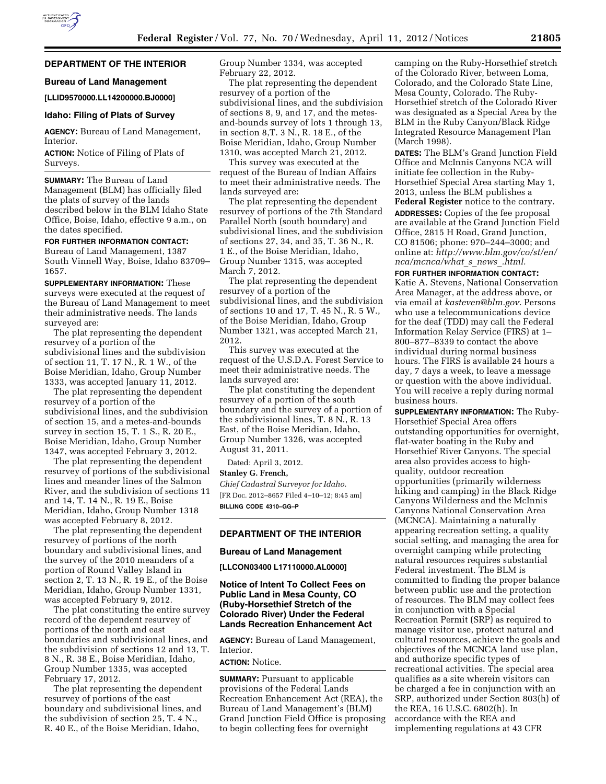### **DEPARTMENT OF THE INTERIOR**

#### **Bureau of Land Management**

#### **[LLID9570000.LL14200000.BJ0000]**

#### **Idaho: Filing of Plats of Survey**

**AGENCY:** Bureau of Land Management, Interior.

**ACTION:** Notice of Filing of Plats of Surveys.

**SUMMARY:** The Bureau of Land Management (BLM) has officially filed the plats of survey of the lands described below in the BLM Idaho State Office, Boise, Idaho, effective 9 a.m., on the dates specified.

## **FOR FURTHER INFORMATION CONTACT:**

Bureau of Land Management, 1387 South Vinnell Way, Boise, Idaho 83709– 1657.

**SUPPLEMENTARY INFORMATION:** These surveys were executed at the request of the Bureau of Land Management to meet their administrative needs. The lands surveyed are:

The plat representing the dependent resurvey of a portion of the subdivisional lines and the subdivision of section 11, T. 17 N., R. 1 W., of the Boise Meridian, Idaho, Group Number 1333, was accepted January 11, 2012.

The plat representing the dependent resurvey of a portion of the subdivisional lines, and the subdivision of section 15, and a metes-and-bounds survey in section 15, T. 1 S., R. 20 E., Boise Meridian, Idaho, Group Number 1347, was accepted February 3, 2012.

The plat representing the dependent resurvey of portions of the subdivisional lines and meander lines of the Salmon River, and the subdivision of sections 11 and 14, T. 14 N., R. 19 E., Boise Meridian, Idaho, Group Number 1318 was accepted February 8, 2012.

The plat representing the dependent resurvey of portions of the north boundary and subdivisional lines, and the survey of the 2010 meanders of a portion of Round Valley Island in section 2, T. 13 N., R. 19 E., of the Boise Meridian, Idaho, Group Number 1331, was accepted February 9, 2012.

The plat constituting the entire survey record of the dependent resurvey of portions of the north and east boundaries and subdivisional lines, and the subdivision of sections 12 and 13, T. 8 N., R. 38 E., Boise Meridian, Idaho, Group Number 1335, was accepted February 17, 2012.

The plat representing the dependent resurvey of portions of the east boundary and subdivisional lines, and the subdivision of section 25, T. 4 N., R. 40 E., of the Boise Meridian, Idaho,

Group Number 1334, was accepted February 22, 2012.

The plat representing the dependent resurvey of a portion of the subdivisional lines, and the subdivision of sections 8, 9, and 17, and the metesand-bounds survey of lots 1 through 13, in section 8,T. 3 N., R. 18 E., of the Boise Meridian, Idaho, Group Number 1310, was accepted March 21, 2012.

This survey was executed at the request of the Bureau of Indian Affairs to meet their administrative needs. The lands surveyed are:

The plat representing the dependent resurvey of portions of the 7th Standard Parallel North (south boundary) and subdivisional lines, and the subdivision of sections 27, 34, and 35, T. 36 N., R. 1 E., of the Boise Meridian, Idaho, Group Number 1315, was accepted March 7, 2012.

The plat representing the dependent resurvey of a portion of the subdivisional lines, and the subdivision of sections 10 and 17, T. 45 N., R. 5 W., of the Boise Meridian, Idaho, Group Number 1321, was accepted March 21, 2012.

This survey was executed at the request of the U.S.D.A. Forest Service to meet their administrative needs. The lands surveyed are:

The plat constituting the dependent resurvey of a portion of the south boundary and the survey of a portion of the subdivisional lines, T. 8 N., R. 13 East, of the Boise Meridian, Idaho, Group Number 1326, was accepted August 31, 2011.

Dated: April 3, 2012.

#### **Stanley G. French,**

*Chief Cadastral Surveyor for Idaho.*  [FR Doc. 2012–8657 Filed 4–10–12; 8:45 am] **BILLING CODE 4310–GG–P** 

# **DEPARTMENT OF THE INTERIOR**

## **Bureau of Land Management**

**[LLCON03400 L17110000.AL0000]** 

## **Notice of Intent To Collect Fees on Public Land in Mesa County, CO (Ruby-Horsethief Stretch of the Colorado River) Under the Federal Lands Recreation Enhancement Act**

**AGENCY:** Bureau of Land Management, Interior.

# **ACTION:** Notice.

**SUMMARY:** Pursuant to applicable provisions of the Federal Lands Recreation Enhancement Act (REA), the Bureau of Land Management's (BLM) Grand Junction Field Office is proposing to begin collecting fees for overnight

camping on the Ruby-Horsethief stretch of the Colorado River, between Loma, Colorado, and the Colorado State Line, Mesa County, Colorado. The Ruby-Horsethief stretch of the Colorado River was designated as a Special Area by the BLM in the Ruby Canyon/Black Ridge Integrated Resource Management Plan (March 1998).

**DATES:** The BLM's Grand Junction Field Office and McInnis Canyons NCA will initiate fee collection in the Ruby-Horsethief Special Area starting May 1, 2013, unless the BLM publishes a **Federal Register** notice to the contrary. **ADDRESSES:** Copies of the fee proposal are available at the Grand Junction Field Office, 2815 H Road, Grand Junction, CO 81506; phone: 970–244–3000; and online at: *[http://www.blm.gov/co/st/en/](http://www.blm.gov/co/st/en/nca/mcnca/what_s_news_.html)  [nca/mcnca/what](http://www.blm.gov/co/st/en/nca/mcnca/what_s_news_.html)*\_*s*\_*news*\_*.html.* 

**FOR FURTHER INFORMATION CONTACT:**  Katie A. Stevens, National Conservation

Area Manager, at the address above, or via email at *[kasteven@blm.gov.](mailto:kasteven@blm.gov)* Persons who use a telecommunications device for the deaf (TDD) may call the Federal Information Relay Service (FIRS) at 1– 800–877–8339 to contact the above individual during normal business hours. The FIRS is available 24 hours a day, 7 days a week, to leave a message or question with the above individual. You will receive a reply during normal business hours.

**SUPPLEMENTARY INFORMATION:** The Ruby-Horsethief Special Area offers outstanding opportunities for overnight, flat-water boating in the Ruby and Horsethief River Canyons. The special area also provides access to highquality, outdoor recreation opportunities (primarily wilderness hiking and camping) in the Black Ridge Canyons Wilderness and the McInnis Canyons National Conservation Area (MCNCA). Maintaining a naturally appearing recreation setting, a quality social setting, and managing the area for overnight camping while protecting natural resources requires substantial Federal investment. The BLM is committed to finding the proper balance between public use and the protection of resources. The BLM may collect fees in conjunction with a Special Recreation Permit (SRP) as required to manage visitor use, protect natural and cultural resources, achieve the goals and objectives of the MCNCA land use plan, and authorize specific types of recreational activities. The special area qualifies as a site wherein visitors can be charged a fee in conjunction with an SRP, authorized under Section 803(h) of the REA, 16 U.S.C. 6802(h). In accordance with the REA and implementing regulations at 43 CFR